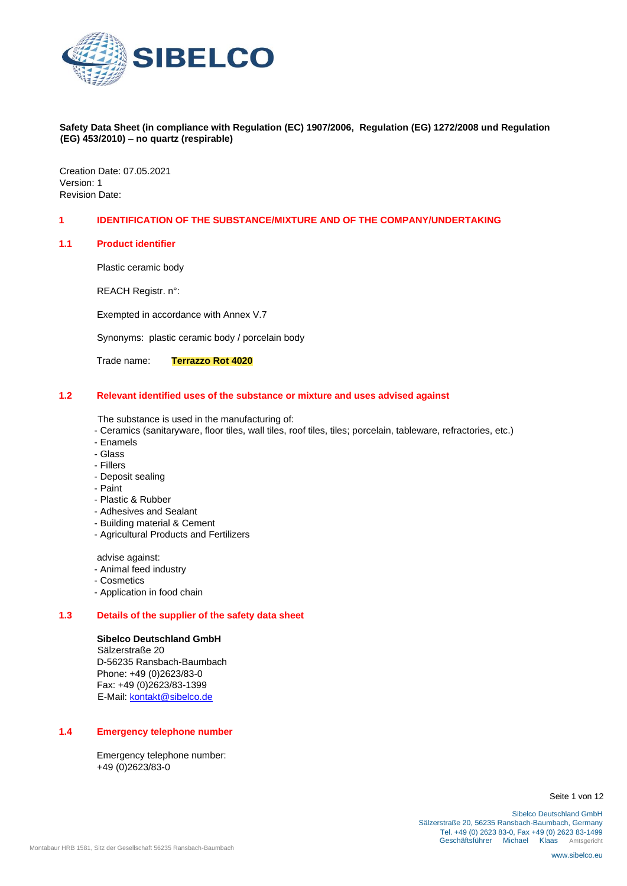

Creation Date: 07.05.2021 Version: 1 Revision Date:

### **1 IDENTIFICATION OF THE SUBSTANCE/MIXTURE AND OF THE COMPANY/UNDERTAKING**

#### **1.1 Product identifier**

Plastic ceramic body

REACH Registr. n°:

Exempted in accordance with Annex V.7

Synonyms: plastic ceramic body / porcelain body

Trade name: **Terrazzo Rot 4020**

#### **1.2 Relevant identified uses of the substance or mixture and uses advised against**

The substance is used in the manufacturing of:

- Ceramics (sanitaryware, floor tiles, wall tiles, roof tiles, tiles; porcelain, tableware, refractories, etc.)
- Enamels
- Glass
- Fillers
- Deposit sealing
- Paint
- Plastic & Rubber
- Adhesives and Sealant
- Building material & Cement
- Agricultural Products and Fertilizers

advise against:

- Animal feed industry
- Cosmetics
- Application in food chain

# **1.3 Details of the supplier of the safety data sheet**

# **Sibelco Deutschland GmbH**

Sälzerstraße 20 D-56235 Ransbach-Baumbach Phone: +49 (0)2623/83-0 Fax: +49 (0)2623/83-1399 E-Mail: kontakt@sibelco.de

# **1.4 Emergency telephone number**

Emergency telephone number: +49 (0)2623/83-0

Seite 1 von 12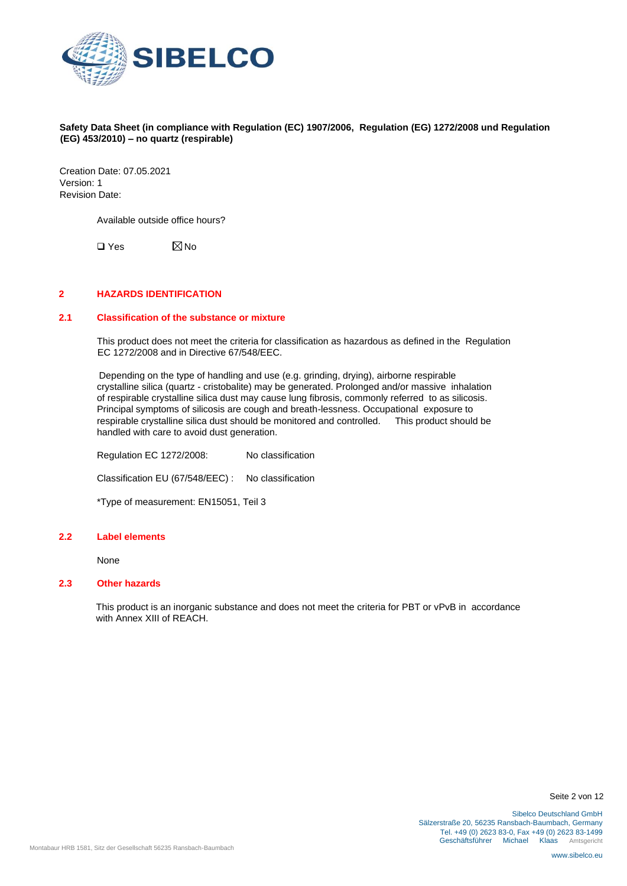

Creation Date: 07.05.2021 Version: 1 Revision Date:

Available outside office hours?

 $\Box$  Yes  $\boxtimes$  No

# **2 HAZARDS IDENTIFICATION**

# **2.1 Classification of the substance or mixture**

This product does not meet the criteria for classification as hazardous as defined in the Regulation EC 1272/2008 and in Directive 67/548/EEC.

Depending on the type of handling and use (e.g. grinding, drying), airborne respirable crystalline silica (quartz - cristobalite) may be generated. Prolonged and/or massive inhalation of respirable crystalline silica dust may cause lung fibrosis, commonly referred to as silicosis. Principal symptoms of silicosis are cough and breath-lessness. Occupational exposure to respirable crystalline silica dust should be monitored and controlled. This product should be handled with care to avoid dust generation.

Regulation EC 1272/2008: No classification Classification EU (67/548/EEC) : No classification \*Type of measurement: EN15051, Teil 3

#### **2.2 Label elements**

None

# **2.3 Other hazards**

This product is an inorganic substance and does not meet the criteria for PBT or vPvB in accordance with Annex XIII of REACH.

Seite 2 von 12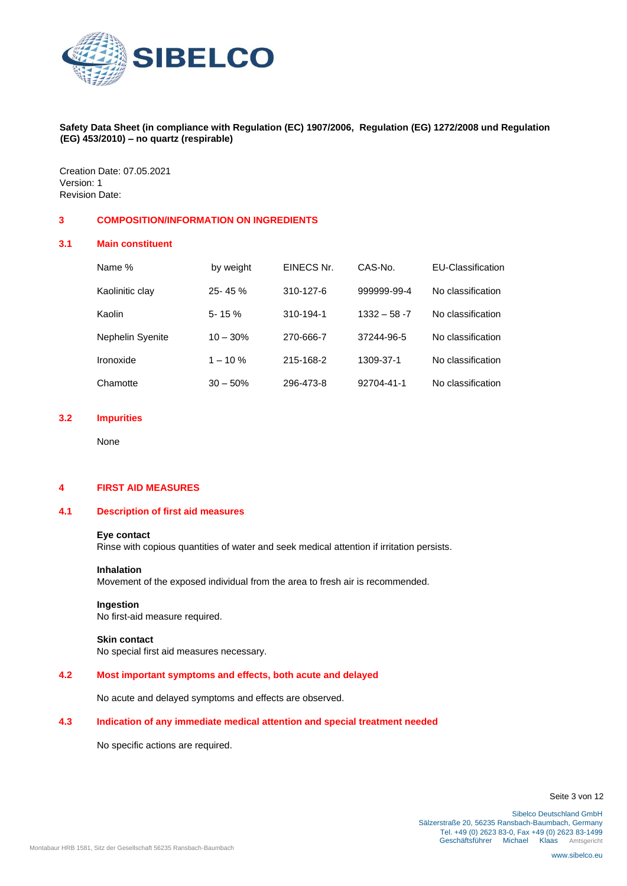

Creation Date: 07.05.2021 Version: 1 Revision Date:

### **3 COMPOSITION/INFORMATION ON INGREDIENTS**

### **3.1 Main constituent**

| Name %                  | by weight  | EINECS Nr. | CAS-No.         | EU-Classification |
|-------------------------|------------|------------|-----------------|-------------------|
| Kaolinitic clay         | $25 - 45%$ | 310-127-6  | 999999-99-4     | No classification |
| Kaolin                  | $5 - 15%$  | 310-194-1  | $1332 - 58 - 7$ | No classification |
| <b>Nephelin Syenite</b> | $10 - 30%$ | 270-666-7  | 37244-96-5      | No classification |
| Ironoxide               | $1 - 10\%$ | 215-168-2  | 1309-37-1       | No classification |
| Chamotte                | $30 - 50%$ | 296-473-8  | 92704-41-1      | No classification |

# **3.2 Impurities**

None

# **4 FIRST AID MEASURES**

# **4.1 Description of first aid measures**

### **Eye contact**

Rinse with copious quantities of water and seek medical attention if irritation persists.

#### **Inhalation**

Movement of the exposed individual from the area to fresh air is recommended.

#### **Ingestion**

No first-aid measure required.

# **Skin contact**

No special first aid measures necessary.

# **4.2 Most important symptoms and effects, both acute and delayed**

No acute and delayed symptoms and effects are observed.

# **4.3 Indication of any immediate medical attention and special treatment needed**

No specific actions are required.

Seite 3 von 12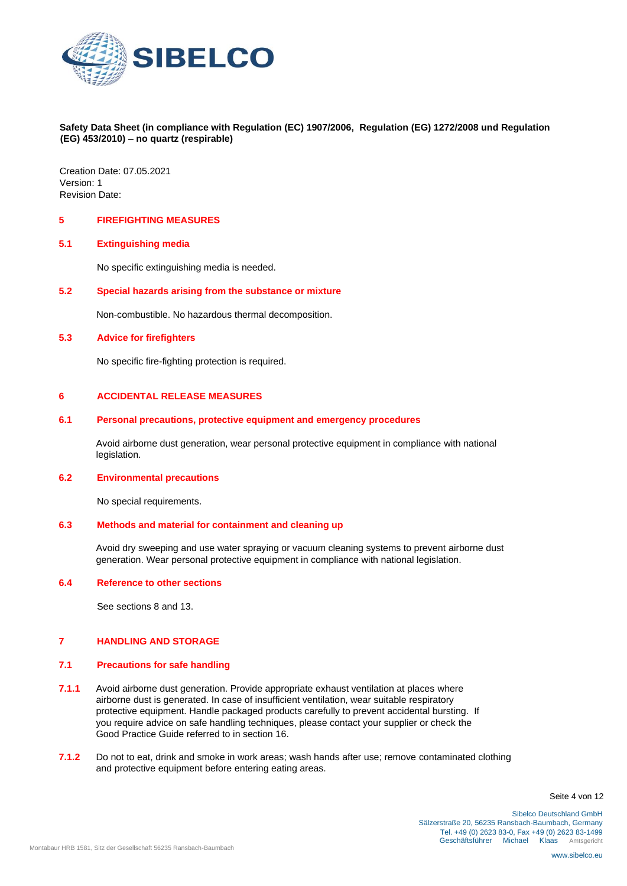

Creation Date: 07.05.2021 Version: 1 Revision Date:

#### **5 FIREFIGHTING MEASURES**

#### **5.1 Extinguishing media**

No specific extinguishing media is needed.

# **5.2 Special hazards arising from the substance or mixture**

Non-combustible. No hazardous thermal decomposition.

#### **5.3 Advice for firefighters**

No specific fire-fighting protection is required.

### **6 ACCIDENTAL RELEASE MEASURES**

### **6.1 Personal precautions, protective equipment and emergency procedures**

Avoid airborne dust generation, wear personal protective equipment in compliance with national legislation.

# **6.2 Environmental precautions**

No special requirements.

# **6.3 Methods and material for containment and cleaning up**

Avoid dry sweeping and use water spraying or vacuum cleaning systems to prevent airborne dust generation. Wear personal protective equipment in compliance with national legislation.

### **6.4 Reference to other sections**

See sections 8 and 13.

# **7 HANDLING AND STORAGE**

### **7.1 Precautions for safe handling**

- **7.1.1** Avoid airborne dust generation. Provide appropriate exhaust ventilation at places where airborne dust is generated. In case of insufficient ventilation, wear suitable respiratory protective equipment. Handle packaged products carefully to prevent accidental bursting. If you require advice on safe handling techniques, please contact your supplier or check the Good Practice Guide referred to in section 16.
- **7.1.2** Do not to eat, drink and smoke in work areas; wash hands after use; remove contaminated clothing and protective equipment before entering eating areas.

Seite 4 von 12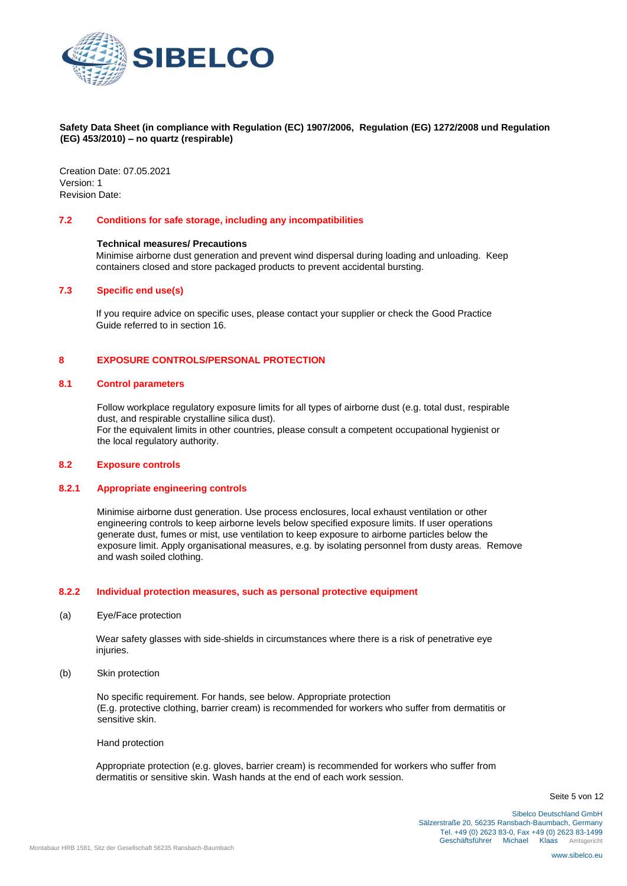

Creation Date: 07.05.2021 Version: 1 Revision Date:

#### **7.2 Conditions for safe storage, including any incompatibilities**

#### **Technical measures/ Precautions**

Minimise airborne dust generation and prevent wind dispersal during loading and unloading. Keep containers closed and store packaged products to prevent accidental bursting.

### **7.3 Specific end use(s)**

If you require advice on specific uses, please contact your supplier or check the Good Practice Guide referred to in section 16.

#### **8 EXPOSURE CONTROLS/PERSONAL PROTECTION**

#### **8.1 Control parameters**

Follow workplace regulatory exposure limits for all types of airborne dust (e.g. total dust, respirable dust, and respirable crystalline silica dust).

For the equivalent limits in other countries, please consult a competent occupational hygienist or the local regulatory authority.

# **8.2 Exposure controls**

# **8.2.1 Appropriate engineering controls**

Minimise airborne dust generation. Use process enclosures, local exhaust ventilation or other engineering controls to keep airborne levels below specified exposure limits. If user operations generate dust, fumes or mist, use ventilation to keep exposure to airborne particles below the exposure limit. Apply organisational measures, e.g. by isolating personnel from dusty areas. Remove and wash soiled clothing.

#### **8.2.2 Individual protection measures, such as personal protective equipment**

(a) Eye/Face protection

Wear safety glasses with side-shields in circumstances where there is a risk of penetrative eye iniuries.

(b) Skin protection

No specific requirement. For hands, see below. Appropriate protection (E.g. protective clothing, barrier cream) is recommended for workers who suffer from dermatitis or sensitive skin.

Hand protection

Appropriate protection (e.g. gloves, barrier cream) is recommended for workers who suffer from dermatitis or sensitive skin. Wash hands at the end of each work session.

Seite 5 von 12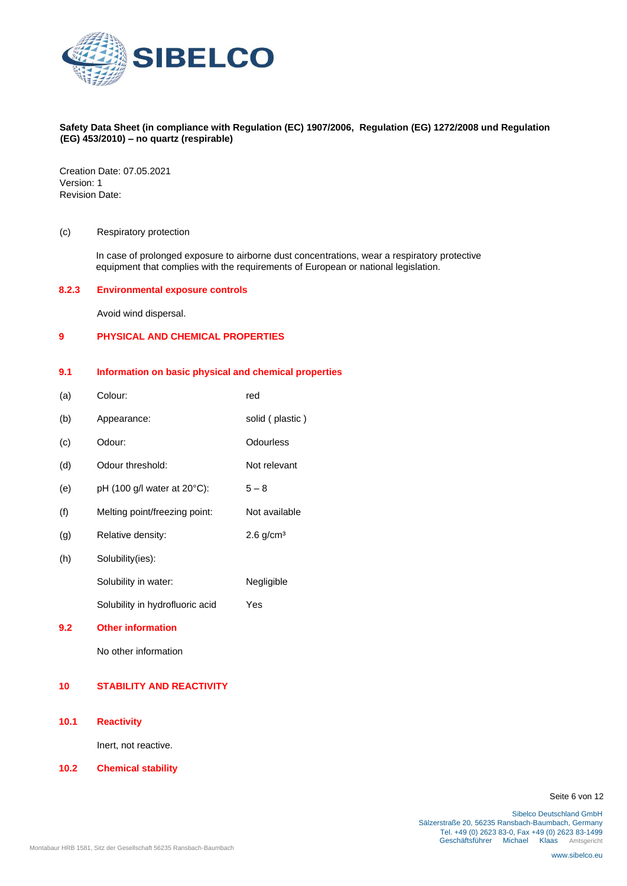

Creation Date: 07.05.2021 Version: 1 Revision Date:

#### (c) Respiratory protection

In case of prolonged exposure to airborne dust concentrations, wear a respiratory protective equipment that complies with the requirements of European or national legislation.

#### **8.2.3 Environmental exposure controls**

Avoid wind dispersal.

#### **9 PHYSICAL AND CHEMICAL PROPERTIES**

#### **9.1 Information on basic physical and chemical properties**

- (a) Colour: red
- (b) Appearance: solid ( plastic ) (c) Odour: Odourless
- (d) Odour threshold: Not relevant
- (e) pH (100 g/l water at 20 $^{\circ}$ C): 5 8
- (f) Melting point/freezing point: Not available
- (g) Relative density: 2.6 g/cm<sup>3</sup>
- (h) Solubility(ies):
	- Solubility in water: Negligible
		- Solubility in hydrofluoric acid Yes
- **9.2 Other information**

No other information

# **10 STABILITY AND REACTIVITY**

**10.1 Reactivity** 

Inert, not reactive.

**10.2 Chemical stability** 

Seite 6 von 12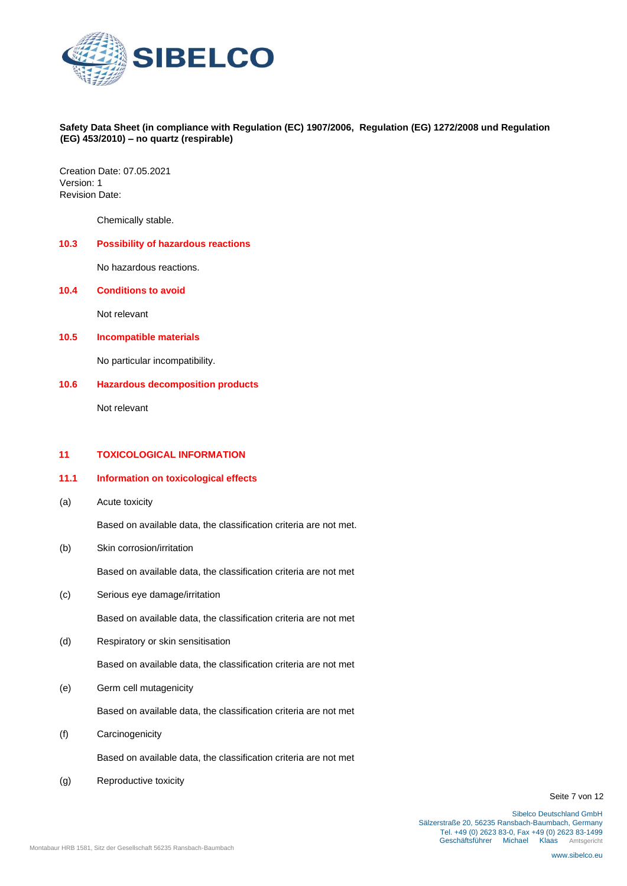

Creation Date: 07.05.2021 Version: 1 Revision Date:

Chemically stable.

# **10.3 Possibility of hazardous reactions**

No hazardous reactions.

#### **10.4 Conditions to avoid**

Not relevant

### **10.5 Incompatible materials**

No particular incompatibility.

#### **10.6 Hazardous decomposition products**

Not relevant

# **11 TOXICOLOGICAL INFORMATION**

# **11.1 Information on toxicological effects**

(a) Acute toxicity

Based on available data, the classification criteria are not met.

(b) Skin corrosion/irritation

Based on available data, the classification criteria are not met

(c) Serious eye damage/irritation

Based on available data, the classification criteria are not met

(d) Respiratory or skin sensitisation

Based on available data, the classification criteria are not met

(e) Germ cell mutagenicity

Based on available data, the classification criteria are not met

(f) Carcinogenicity

Based on available data, the classification criteria are not met

(g) Reproductive toxicity

Seite 7 von 12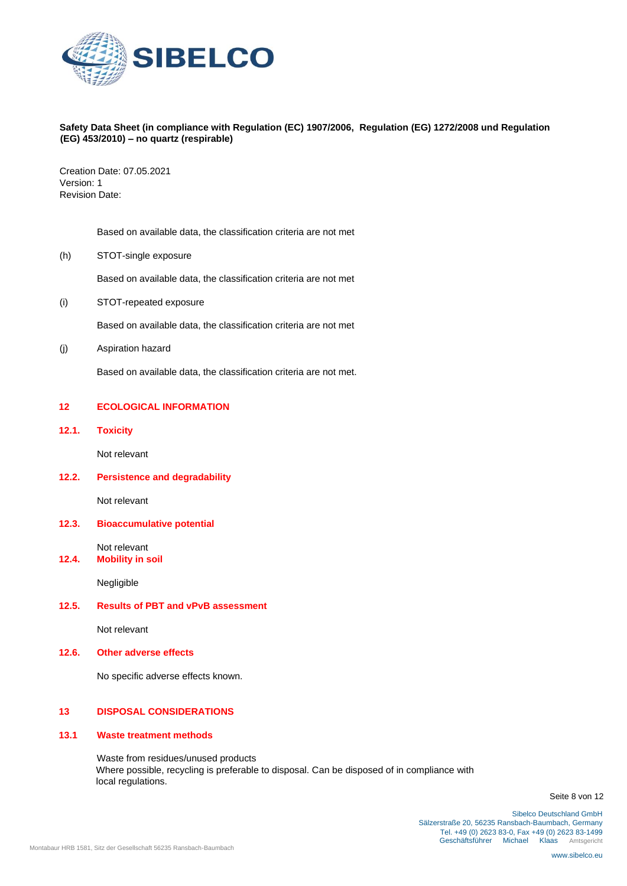

Creation Date: 07.05.2021 Version: 1 Revision Date:

Based on available data, the classification criteria are not met

(h) STOT-single exposure

Based on available data, the classification criteria are not met

(i) STOT-repeated exposure

Based on available data, the classification criteria are not met

(j) Aspiration hazard

Based on available data, the classification criteria are not met.

# **12 ECOLOGICAL INFORMATION**

**12.1. Toxicity** 

Not relevant

**12.2. Persistence and degradability** 

Not relevant

**12.3. Bioaccumulative potential** 

Not relevant

**12.4. Mobility in soil** 

Negligible

### **12.5. Results of PBT and vPvB assessment**

Not relevant

**12.6. Other adverse effects** 

No specific adverse effects known.

#### **13 DISPOSAL CONSIDERATIONS**

#### **13.1 Waste treatment methods**

Waste from residues/unused products Where possible, recycling is preferable to disposal. Can be disposed of in compliance with local regulations.

Seite 8 von 12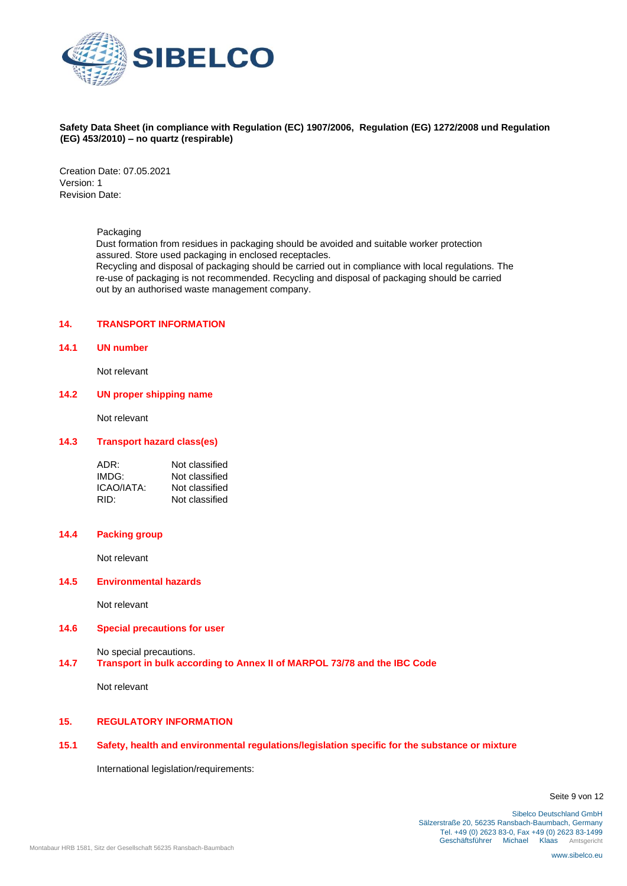

Creation Date: 07.05.2021 Version: 1 Revision Date:

Packaging

Dust formation from residues in packaging should be avoided and suitable worker protection assured. Store used packaging in enclosed receptacles. Recycling and disposal of packaging should be carried out in compliance with local regulations. The

re-use of packaging is not recommended. Recycling and disposal of packaging should be carried out by an authorised waste management company.

# **14. TRANSPORT INFORMATION**

**14.1 UN number** 

Not relevant

# **14.2 UN proper shipping name**

Not relevant

## **14.3 Transport hazard class(es)**

| ADR:       | Not classified |
|------------|----------------|
| IMDG:      | Not classified |
| ICAO/IATA: | Not classified |
| RID:       | Not classified |

# **14.4 Packing group**

Not relevant

#### **14.5 Environmental hazards**

Not relevant

# **14.6 Special precautions for user**

No special precautions.

# **14.7 Transport in bulk according to Annex II of MARPOL 73/78 and the IBC Code**

Not relevant

### **15. REGULATORY INFORMATION**

# **15.1 Safety, health and environmental regulations/legislation specific for the substance or mixture**

International legislation/requirements:

Seite 9 von 12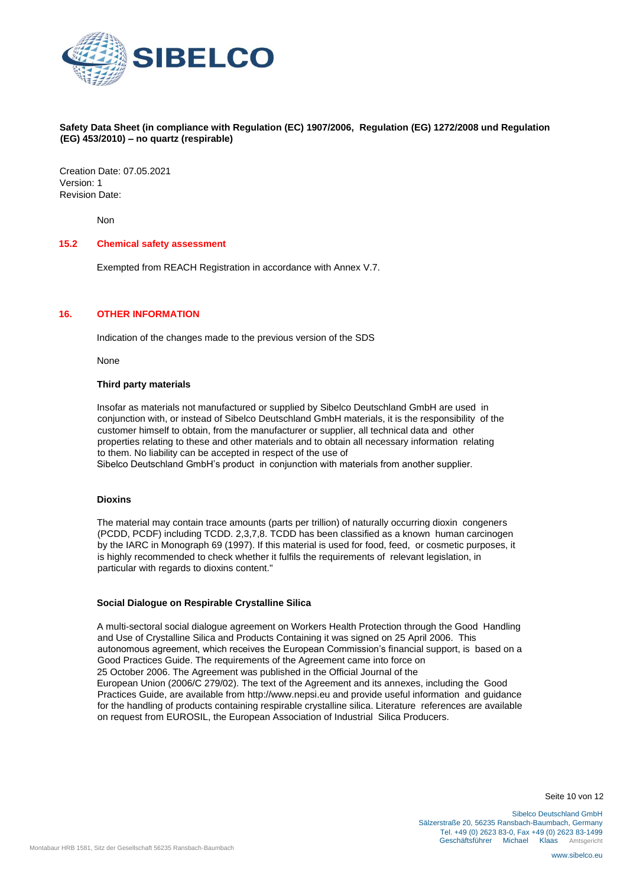

Creation Date: 07.05.2021 Version: 1 Revision Date:

Non

# **15.2 Chemical safety assessment**

Exempted from REACH Registration in accordance with Annex V.7.

### **16. OTHER INFORMATION**

Indication of the changes made to the previous version of the SDS

None

#### **Third party materials**

Insofar as materials not manufactured or supplied by Sibelco Deutschland GmbH are used in conjunction with, or instead of Sibelco Deutschland GmbH materials, it is the responsibility of the customer himself to obtain, from the manufacturer or supplier, all technical data and other properties relating to these and other materials and to obtain all necessary information relating to them. No liability can be accepted in respect of the use of Sibelco Deutschland GmbH's product in conjunction with materials from another supplier.

#### **Dioxins**

The material may contain trace amounts (parts per trillion) of naturally occurring dioxin congeners (PCDD, PCDF) including TCDD. 2,3,7,8. TCDD has been classified as a known human carcinogen by the IARC in Monograph 69 (1997). If this material is used for food, feed, or cosmetic purposes, it is highly recommended to check whether it fulfils the requirements of relevant legislation, in particular with regards to dioxins content."

#### **Social Dialogue on Respirable Crystalline Silica**

A multi-sectoral social dialogue agreement on Workers Health Protection through the Good Handling and Use of Crystalline Silica and Products Containing it was signed on 25 April 2006. This autonomous agreement, which receives the European Commission's financial support, is based on a Good Practices Guide. The requirements of the Agreement came into force on 25 October 2006. The Agreement was published in the Official Journal of the European Union (2006/C 279/02). The text of the Agreement and its annexes, including the Good Practices Guide, are available from http://www.nepsi.eu and provide useful information and guidance for the handling of products containing respirable crystalline silica. Literature references are available on request from EUROSIL, the European Association of Industrial Silica Producers.

Seite 10 von 12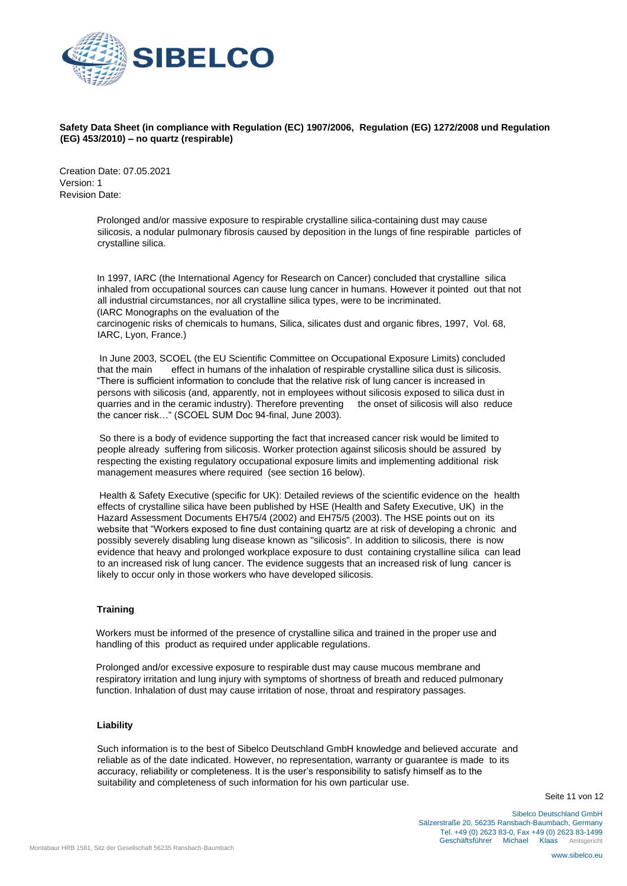

Creation Date: 07.05.2021 Version: 1 Revision Date:

> Prolonged and/or massive exposure to respirable crystalline silica-containing dust may cause silicosis, a nodular pulmonary fibrosis caused by deposition in the lungs of fine respirable particles of crystalline silica.

> In 1997, IARC (the International Agency for Research on Cancer) concluded that crystalline silica inhaled from occupational sources can cause lung cancer in humans. However it pointed out that not all industrial circumstances, nor all crystalline silica types, were to be incriminated. (IARC Monographs on the evaluation of the

carcinogenic risks of chemicals to humans, Silica, silicates dust and organic fibres, 1997, Vol. 68, IARC, Lyon, France.)

In June 2003, SCOEL (the EU Scientific Committee on Occupational Exposure Limits) concluded that the main effect in humans of the inhalation of respirable crystalline silica dust is silicosis. "There is sufficient information to conclude that the relative risk of lung cancer is increased in persons with silicosis (and, apparently, not in employees without silicosis exposed to silica dust in quarries and in the ceramic industry). Therefore preventing the onset of silicosis will also reduce the cancer risk…" (SCOEL SUM Doc 94-final, June 2003).

So there is a body of evidence supporting the fact that increased cancer risk would be limited to people already suffering from silicosis. Worker protection against silicosis should be assured by respecting the existing regulatory occupational exposure limits and implementing additional risk management measures where required (see section 16 below).

Health & Safety Executive (specific for UK): Detailed reviews of the scientific evidence on the health effects of crystalline silica have been published by HSE (Health and Safety Executive, UK) in the Hazard Assessment Documents EH75/4 (2002) and EH75/5 (2003). The HSE points out on its website that "Workers exposed to fine dust containing quartz are at risk of developing a chronic and possibly severely disabling lung disease known as "silicosis". In addition to silicosis, there is now evidence that heavy and prolonged workplace exposure to dust containing crystalline silica can lead to an increased risk of lung cancer. The evidence suggests that an increased risk of lung cancer is likely to occur only in those workers who have developed silicosis.

### **Training**

Workers must be informed of the presence of crystalline silica and trained in the proper use and handling of this product as required under applicable regulations.

Prolonged and/or excessive exposure to respirable dust may cause mucous membrane and respiratory irritation and lung injury with symptoms of shortness of breath and reduced pulmonary function. Inhalation of dust may cause irritation of nose, throat and respiratory passages.

#### **Liability**

Such information is to the best of Sibelco Deutschland GmbH knowledge and believed accurate and reliable as of the date indicated. However, no representation, warranty or guarantee is made to its accuracy, reliability or completeness. It is the user's responsibility to satisfy himself as to the suitability and completeness of such information for his own particular use.

Seite 11 von 12